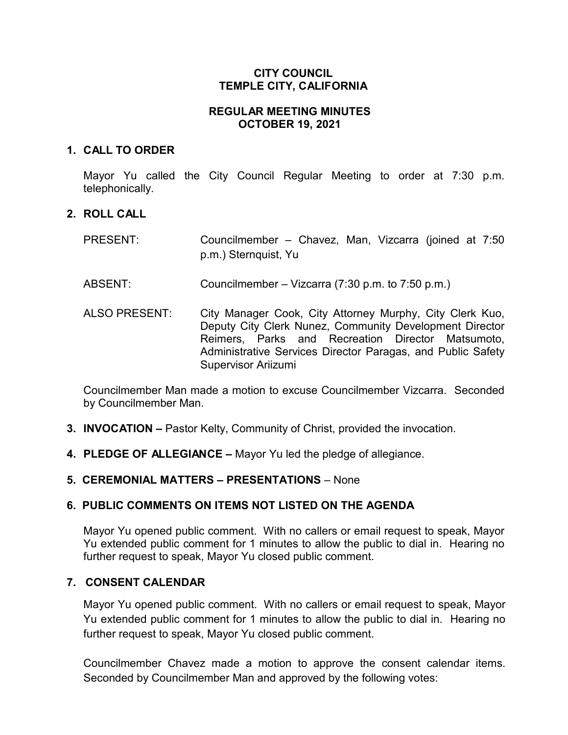# **CITY COUNCIL TEMPLE CITY, CALIFORNIA**

# **REGULAR MEETING MINUTES OCTOBER 19, 2021**

### **1. CALL TO ORDER**

Mayor Yu called the City Council Regular Meeting to order at 7:30 p.m. telephonically.

# **2. ROLL CALL**

| <b>PRESENT:</b>      | Councilmember – Chavez, Man, Vizcarra (joined at 7:50<br>p.m.) Sternquist, Yu                                                                                                                                                                                  |
|----------------------|----------------------------------------------------------------------------------------------------------------------------------------------------------------------------------------------------------------------------------------------------------------|
| ABSENT:              | Councilmember – Vizcarra $(7:30 \text{ p.m. to } 7:50 \text{ p.m.})$                                                                                                                                                                                           |
| <b>ALSO PRESENT:</b> | City Manager Cook, City Attorney Murphy, City Clerk Kuo,<br>Deputy City Clerk Nunez, Community Development Director<br>Reimers, Parks and Recreation Director Matsumoto,<br>Administrative Services Director Paragas, and Public Safety<br>Supervisor Ariizumi |

Councilmember Man made a motion to excuse Councilmember Vizcarra. Seconded by Councilmember Man.

- **3. INVOCATION –** Pastor Kelty, Community of Christ, provided the invocation.
- **4. PLEDGE OF ALLEGIANCE –** Mayor Yu led the pledge of allegiance.

# **5. CEREMONIAL MATTERS – PRESENTATIONS** – None

# **6. PUBLIC COMMENTS ON ITEMS NOT LISTED ON THE AGENDA**

Mayor Yu opened public comment. With no callers or email request to speak, Mayor Yu extended public comment for 1 minutes to allow the public to dial in. Hearing no further request to speak, Mayor Yu closed public comment.

# **7. CONSENT CALENDAR**

Mayor Yu opened public comment. With no callers or email request to speak, Mayor Yu extended public comment for 1 minutes to allow the public to dial in. Hearing no further request to speak, Mayor Yu closed public comment.

Councilmember Chavez made a motion to approve the consent calendar items. Seconded by Councilmember Man and approved by the following votes: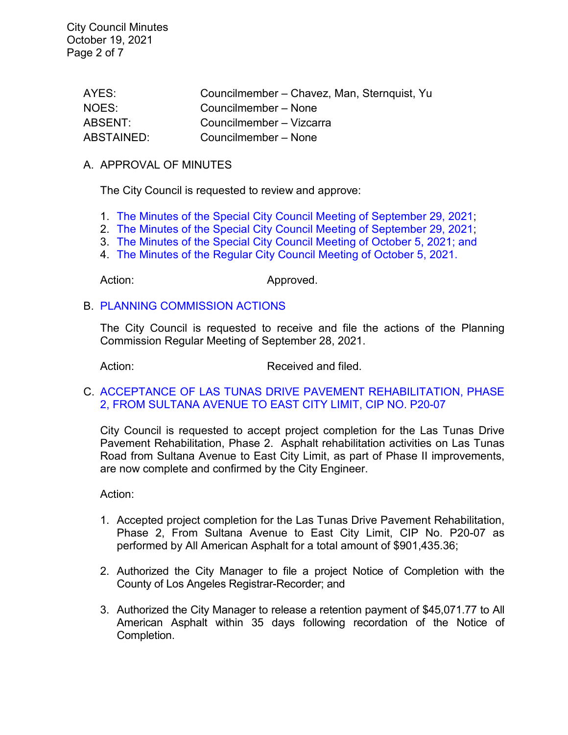City Council Minutes October 19, 2021 Page 2 of 7

| AYES:      | Councilmember - Chavez, Man, Sternquist, Yu |
|------------|---------------------------------------------|
| NOES:      | Councilmember – None                        |
| ABSENT:    | Councilmember - Vizcarra                    |
| ABSTAINED: | Councilmember – None                        |

#### A. APPROVAL OF MINUTES

The City Council is requested to review and approve:

- 1. The Minutes of the Special [City Council Meeting of September 29, 2021;](https://www.ci.temple-city.ca.us/DocumentCenter/View/16875/7A1_CCM---2021-09-29-Sheriffs-Monthly)
- 2. [The Minutes of the Special City Council Meeting of September 29, 2021;](https://www.ci.temple-city.ca.us/DocumentCenter/View/16876/7A-2_CCM---2021-09-29-Special)
- 3. The Minutes of the Special [City Council Meeting of October 5, 2021; and](https://www.ci.temple-city.ca.us/DocumentCenter/View/16877/7A3_CCM---2021-10-05-Special-Joint-Meeting-with-Planning-Commission_revised-AB-361-1)
- 4. [The Minutes of the Regular City Council Meeting of October 5, 2021.](https://www.ci.temple-city.ca.us/DocumentCenter/View/16878/7A4_CCM---2021-10-05)

Action: Approved.

#### B. [PLANNING COMMISSION ACTIONS](https://www.ci.temple-city.ca.us/DocumentCenter/View/16879/7B_PC-Actions---from-2021-9-28)

The City Council is requested to receive and file the actions of the Planning Commission Regular Meeting of September 28, 2021.

Action: Received and filed.

### C. [ACCEPTANCE OF LAS TUNAS DRIVE PAVEMENT REHABILITATION, PHASE](https://www.ci.temple-city.ca.us/DocumentCenter/View/16880/7C_Las-Tunas-Dr-Rehab-Ph-2_Staff-Report_PROJECT-COMPLETION-P20-07-w-attachment)  [2, FROM SULTANA AVENUE TO EAST](https://www.ci.temple-city.ca.us/DocumentCenter/View/16880/7C_Las-Tunas-Dr-Rehab-Ph-2_Staff-Report_PROJECT-COMPLETION-P20-07-w-attachment) CITY LIMIT, CIP NO. P20-07

City Council is requested to accept project completion for the Las Tunas Drive Pavement Rehabilitation, Phase 2. Asphalt rehabilitation activities on Las Tunas Road from Sultana Avenue to East City Limit, as part of Phase II improvements, are now complete and confirmed by the City Engineer.

Action:

- 1. Accepted project completion for the Las Tunas Drive Pavement Rehabilitation, Phase 2, From Sultana Avenue to East City Limit, CIP No. P20-07 as performed by All American Asphalt for a total amount of \$901,435.36;
- 2. Authorized the City Manager to file a project Notice of Completion with the County of Los Angeles Registrar-Recorder; and
- 3. Authorized the City Manager to release a retention payment of \$45,071.77 to All American Asphalt within 35 days following recordation of the Notice of Completion.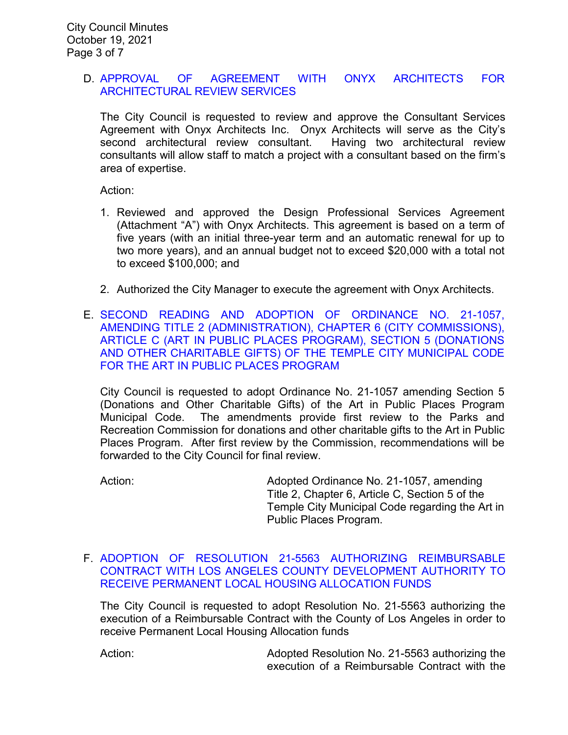### D. [APPROVAL OF AGREEMENT WITH ONYX ARCHITECTS FOR](https://www.ci.temple-city.ca.us/DocumentCenter/View/16881/7D_Award-of-Contract-Onyx_Staff-Report_SR-edits_v2-w-attachment)  [ARCHITECTURAL REVIEW](https://www.ci.temple-city.ca.us/DocumentCenter/View/16881/7D_Award-of-Contract-Onyx_Staff-Report_SR-edits_v2-w-attachment) SERVICES

The City Council is requested to review and approve the Consultant Services Agreement with Onyx Architects Inc. Onyx Architects will serve as the City's second architectural review consultant. Having two architectural review consultants will allow staff to match a project with a consultant based on the firm's area of expertise.

Action:

- 1. Reviewed and approved the Design Professional Services Agreement (Attachment "A") with Onyx Architects. This agreement is based on a term of five years (with an initial three-year term and an automatic renewal for up to two more years), and an annual budget not to exceed \$20,000 with a total not to exceed \$100,000; and
- 2. Authorized the City Manager to execute the agreement with Onyx Architects.
- E. [SECOND READING AND ADOPTION OF ORDINANCE NO. 21-1057,](https://www.ci.temple-city.ca.us/DocumentCenter/View/16882/7E_Art-in-Public-Places-Program---Staff-Report_w-attachments)  [AMENDING TITLE 2 \(ADMINISTRATION\), CHAPTER 6 \(CITY COMMISSIONS\),](https://www.ci.temple-city.ca.us/DocumentCenter/View/16882/7E_Art-in-Public-Places-Program---Staff-Report_w-attachments)  [ARTICLE C \(ART IN PUBLIC PLACES PROGRAM\), SECTION 5 \(DONATIONS](https://www.ci.temple-city.ca.us/DocumentCenter/View/16882/7E_Art-in-Public-Places-Program---Staff-Report_w-attachments)  [AND OTHER CHARITABLE GIFTS\) OF THE TEMPLE CITY MUNICIPAL CODE](https://www.ci.temple-city.ca.us/DocumentCenter/View/16882/7E_Art-in-Public-Places-Program---Staff-Report_w-attachments)  [FOR THE ART IN PUBLIC PLACES PROGRAM](https://www.ci.temple-city.ca.us/DocumentCenter/View/16882/7E_Art-in-Public-Places-Program---Staff-Report_w-attachments)

City Council is requested to adopt Ordinance No. 21-1057 amending Section 5 (Donations and Other Charitable Gifts) of the Art in Public Places Program Municipal Code. The amendments provide first review to the Parks and Recreation Commission for donations and other charitable gifts to the Art in Public Places Program. After first review by the Commission, recommendations will be forwarded to the City Council for final review.

Action: Adopted Ordinance No. 21-1057, amending Title 2, Chapter 6, Article C, Section 5 of the Temple City Municipal Code regarding the Art in Public Places Program.

# F. [ADOPTION OF RESOLUTION 21-5563 AUTHORIZING REIMBURSABLE](https://www.ci.temple-city.ca.us/DocumentCenter/View/16870/7F_PLHA-Reso_Staff-Report--w-attachments)  [CONTRACT WITH LOS ANGELES COUNTY DEVELOPMENT AUTHORITY](https://www.ci.temple-city.ca.us/DocumentCenter/View/16870/7F_PLHA-Reso_Staff-Report--w-attachments) TO RECEIVE PERMANENT [LOCAL HOUSING ALLOCATION](https://www.ci.temple-city.ca.us/DocumentCenter/View/16870/7F_PLHA-Reso_Staff-Report--w-attachments) FUNDS

The City Council is requested to adopt Resolution No. 21-5563 authorizing the execution of a Reimbursable Contract with the County of Los Angeles in order to receive Permanent Local Housing Allocation funds

Action: **Adopted Resolution No. 21-5563** authorizing the execution of a Reimbursable Contract with the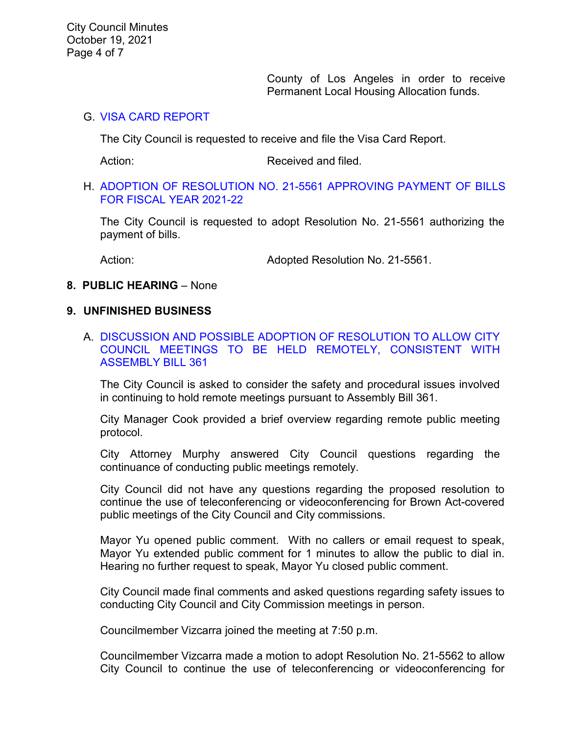County of Los Angeles in order to receive Permanent Local Housing Allocation funds.

### G. [VISA CARD REPORT](https://www.ci.temple-city.ca.us/DocumentCenter/View/16871/7G_Visa-Card-Report-10-19-21)

The City Council is requested to receive and file the Visa Card Report.

Action: Received and filed.

#### H. [ADOPTION OF RESOLUTION NO. 21-5561](https://www.ci.temple-city.ca.us/DocumentCenter/View/16872/7H_Warrant-Reso-No-21-5561_FY-2021-2022-w-attachment) APPROVING PAYMENT OF BILLS [FOR FISCAL YEAR 2021-22](https://www.ci.temple-city.ca.us/DocumentCenter/View/16872/7H_Warrant-Reso-No-21-5561_FY-2021-2022-w-attachment)

The City Council is requested to adopt Resolution No. 21-5561 authorizing the payment of bills.

Action: Mathematic Media Adopted Resolution No. 21-5561.

### **8. PUBLIC HEARING** – None

### **9. UNFINISHED BUSINESS**

A. [DISCUSSION AND POSSIBLE ADOPTION OF RESOLUTION TO ALLOW CITY](https://www.ci.temple-city.ca.us/DocumentCenter/View/16874/10A_Remote-Meeting_Staff-Report-w-attachments)  [COUNCIL MEETINGS TO BE HELD REMOTELY, CONSISTENT WITH](https://www.ci.temple-city.ca.us/DocumentCenter/View/16874/10A_Remote-Meeting_Staff-Report-w-attachments)  [ASSEMBLY BILL 361](https://www.ci.temple-city.ca.us/DocumentCenter/View/16874/10A_Remote-Meeting_Staff-Report-w-attachments)

The City Council is asked to consider the safety and procedural issues involved in continuing to hold remote meetings pursuant to Assembly Bill 361.

City Manager Cook provided a brief overview regarding remote public meeting protocol.

City Attorney Murphy answered City Council questions regarding the continuance of conducting public meetings remotely.

City Council did not have any questions regarding the proposed resolution to continue the use of teleconferencing or videoconferencing for Brown Act-covered public meetings of the City Council and City commissions.

Mayor Yu opened public comment. With no callers or email request to speak, Mayor Yu extended public comment for 1 minutes to allow the public to dial in. Hearing no further request to speak, Mayor Yu closed public comment.

City Council made final comments and asked questions regarding safety issues to conducting City Council and City Commission meetings in person.

Councilmember Vizcarra joined the meeting at 7:50 p.m.

Councilmember Vizcarra made a motion to adopt Resolution No. 21-5562 to allow City Council to continue the use of teleconferencing or videoconferencing for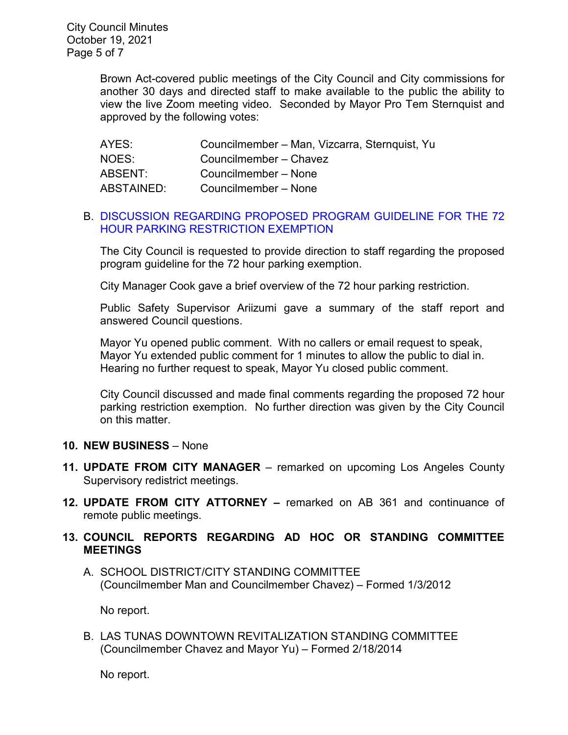Brown Act-covered public meetings of the City Council and City commissions for another 30 days and directed staff to make available to the public the ability to view the live Zoom meeting video. Seconded by Mayor Pro Tem Sternquist and approved by the following votes:

| AYES:             | Councilmember - Man, Vizcarra, Sternquist, Yu |
|-------------------|-----------------------------------------------|
| NOES:             | Councilmember - Chavez                        |
| ABSENT:           | Councilmember - None                          |
| <b>ABSTAINED:</b> | Councilmember – None                          |

# B. [DISCUSSION REGARDING PROPOSED PROGRAM GUIDELINE FOR THE 72](https://www.ci.temple-city.ca.us/DocumentCenter/View/16873/9A_72-Hour-Parking-Exemption_staff-report)  [HOUR PARKING RESTRICTION EXEMPTION](https://www.ci.temple-city.ca.us/DocumentCenter/View/16873/9A_72-Hour-Parking-Exemption_staff-report)

The City Council is requested to provide direction to staff regarding the proposed program guideline for the 72 hour parking exemption.

City Manager Cook gave a brief overview of the 72 hour parking restriction.

Public Safety Supervisor Ariizumi gave a summary of the staff report and answered Council questions.

Mayor Yu opened public comment. With no callers or email request to speak, Mayor Yu extended public comment for 1 minutes to allow the public to dial in. Hearing no further request to speak, Mayor Yu closed public comment.

City Council discussed and made final comments regarding the proposed 72 hour parking restriction exemption. No further direction was given by the City Council on this matter.

# **10. NEW BUSINESS** – None

- **11. UPDATE FROM CITY MANAGER**  remarked on upcoming Los Angeles County Supervisory redistrict meetings.
- **12. UPDATE FROM CITY ATTORNEY –** remarked on AB 361 and continuance of remote public meetings.

# **13. COUNCIL REPORTS REGARDING AD HOC OR STANDING COMMITTEE MEETINGS**

A. SCHOOL DISTRICT/CITY STANDING COMMITTEE (Councilmember Man and Councilmember Chavez) – Formed 1/3/2012

No report.

B. LAS TUNAS DOWNTOWN REVITALIZATION STANDING COMMITTEE (Councilmember Chavez and Mayor Yu) – Formed 2/18/2014

No report.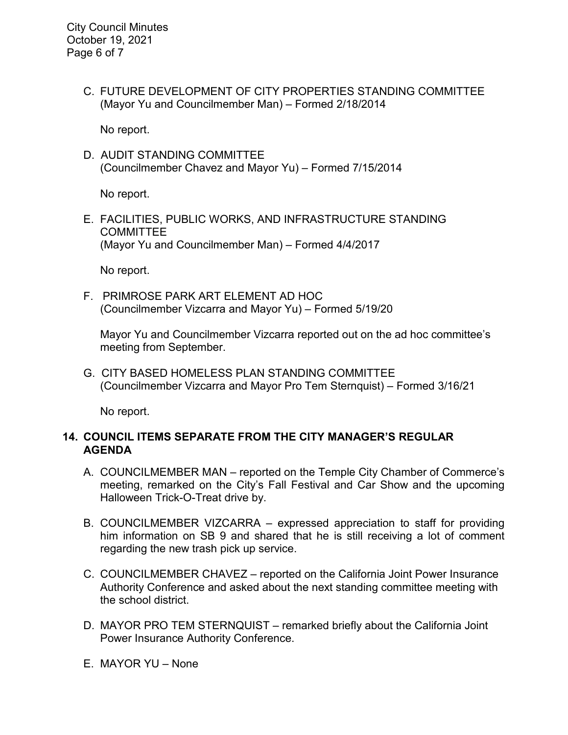C. FUTURE DEVELOPMENT OF CITY PROPERTIES STANDING COMMITTEE (Mayor Yu and Councilmember Man) – Formed 2/18/2014

No report.

D. AUDIT STANDING COMMITTEE (Councilmember Chavez and Mayor Yu) – Formed 7/15/2014

No report.

E. FACILITIES, PUBLIC WORKS, AND INFRASTRUCTURE STANDING COMMITTEE (Mayor Yu and Councilmember Man) – Formed 4/4/2017

No report.

F. PRIMROSE PARK ART ELEMENT AD HOC (Councilmember Vizcarra and Mayor Yu) – Formed 5/19/20

Mayor Yu and Councilmember Vizcarra reported out on the ad hoc committee's meeting from September.

G. CITY BASED HOMELESS PLAN STANDING COMMITTEE (Councilmember Vizcarra and Mayor Pro Tem Sternquist) – Formed 3/16/21

No report.

# **14. COUNCIL ITEMS SEPARATE FROM THE CITY MANAGER'S REGULAR AGENDA**

- A. COUNCILMEMBER MAN reported on the Temple City Chamber of Commerce's meeting, remarked on the City's Fall Festival and Car Show and the upcoming Halloween Trick-O-Treat drive by.
- B. COUNCILMEMBER VIZCARRA expressed appreciation to staff for providing him information on SB 9 and shared that he is still receiving a lot of comment regarding the new trash pick up service.
- C. COUNCILMEMBER CHAVEZ reported on the California Joint Power Insurance Authority Conference and asked about the next standing committee meeting with the school district.
- D. MAYOR PRO TEM STERNQUIST remarked briefly about the California Joint Power Insurance Authority Conference.
- E. MAYOR YU None